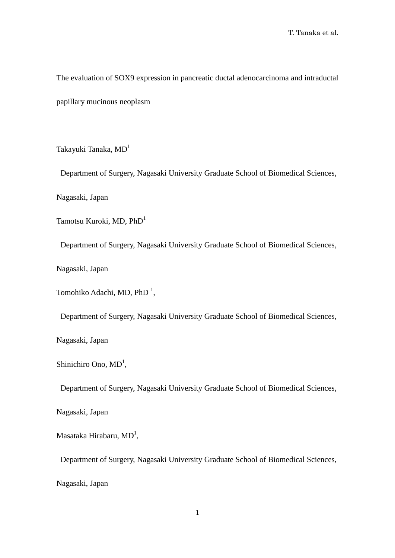The evaluation of SOX9 expression in pancreatic ductal adenocarcinoma and intraductal papillary mucinous neoplasm

Takayuki Tanaka, MD<sup>1</sup>

Department of Surgery, Nagasaki University Graduate School of Biomedical Sciences,

Nagasaki, Japan

Tamotsu Kuroki, MD, PhD<sup>1</sup>

Department of Surgery, Nagasaki University Graduate School of Biomedical Sciences,

Nagasaki, Japan

Tomohiko Adachi, MD, PhD<sup>1</sup>,

Department of Surgery, Nagasaki University Graduate School of Biomedical Sciences,

Nagasaki, Japan

Shinichiro Ono, MD<sup>1</sup>,

Department of Surgery, Nagasaki University Graduate School of Biomedical Sciences,

Nagasaki, Japan

Masataka Hirabaru, MD $^{\rm l}$ ,

Department of Surgery, Nagasaki University Graduate School of Biomedical Sciences,

Nagasaki, Japan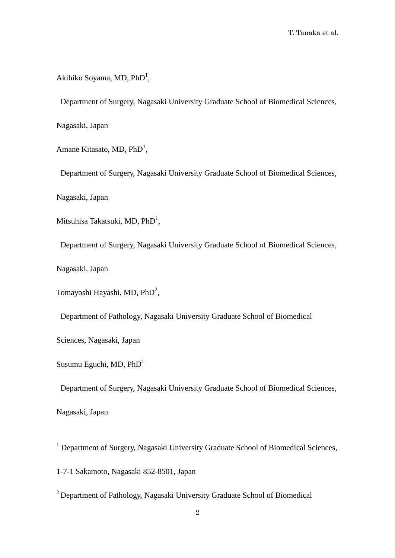Akihiko Soyama, MD, PhD<sup>1</sup>,

Department of Surgery, Nagasaki University Graduate School of Biomedical Sciences,

Nagasaki, Japan

Amane Kitasato, MD, PhD<sup>1</sup>,

Department of Surgery, Nagasaki University Graduate School of Biomedical Sciences,

Nagasaki, Japan

Mitsuhisa Takatsuki, MD, PhD<sup>1</sup>,

Department of Surgery, Nagasaki University Graduate School of Biomedical Sciences,

Nagasaki, Japan

Tomayoshi Hayashi, MD, PhD<sup>2</sup>,

Department of Pathology, Nagasaki University Graduate School of Biomedical

Sciences, Nagasaki, Japan

Susumu Eguchi, MD, PhD1

Department of Surgery, Nagasaki University Graduate School of Biomedical Sciences,

Nagasaki, Japan

<sup>1</sup> Department of Surgery, Nagasaki University Graduate School of Biomedical Sciences,

1-7-1 Sakamoto, Nagasaki 852-8501, Japan

<sup>2</sup> Department of Pathology, Nagasaki University Graduate School of Biomedical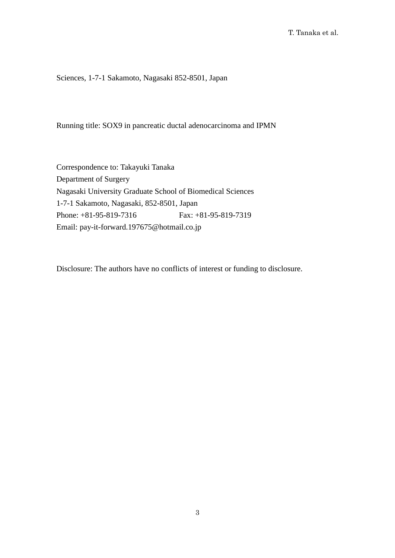Sciences, 1-7-1 Sakamoto, Nagasaki 852-8501, Japan

Running title: SOX9 in pancreatic ductal adenocarcinoma and IPMN

Correspondence to: Takayuki Tanaka Department of Surgery Nagasaki University Graduate School of Biomedical Sciences 1-7-1 Sakamoto, Nagasaki, 852-8501, Japan Phone: +81-95-819-7316 Fax: +81-95-819-7319 Email: pay-it-forward.197675@hotmail.co.jp

Disclosure: The authors have no conflicts of interest or funding to disclosure.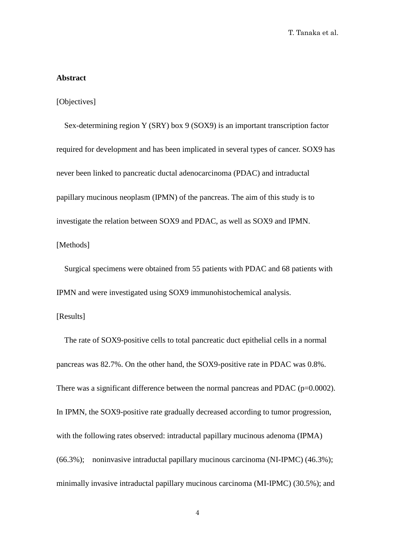#### **Abstract**

#### [Objectives]

Sex-determining region Y (SRY) box 9 (SOX9) is an important transcription factor required for development and has been implicated in several types of cancer. SOX9 has never been linked to pancreatic ductal adenocarcinoma (PDAC) and intraductal papillary mucinous neoplasm (IPMN) of the pancreas. The aim of this study is to investigate the relation between SOX9 and PDAC, as well as SOX9 and IPMN. [Methods]

Surgical specimens were obtained from 55 patients with PDAC and 68 patients with IPMN and were investigated using SOX9 immunohistochemical analysis.

# [Results]

The rate of SOX9-positive cells to total pancreatic duct epithelial cells in a normal pancreas was 82.7%. On the other hand, the SOX9-positive rate in PDAC was 0.8%. There was a significant difference between the normal pancreas and PDAC (p=0.0002). In IPMN, the SOX9-positive rate gradually decreased according to tumor progression, with the following rates observed: intraductal papillary mucinous adenoma (IPMA) (66.3%); noninvasive intraductal papillary mucinous carcinoma (NI-IPMC) (46.3%); minimally invasive intraductal papillary mucinous carcinoma (MI-IPMC) (30.5%); and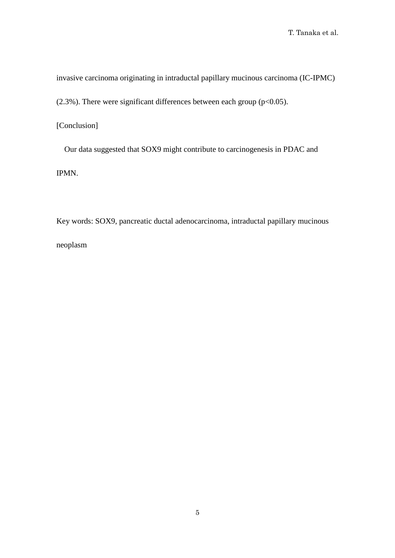invasive carcinoma originating in intraductal papillary mucinous carcinoma (IC-IPMC)

(2.3%). There were significant differences between each group ( $p<0.05$ ).

[Conclusion]

Our data suggested that SOX9 might contribute to carcinogenesis in PDAC and IPMN.

Key words: SOX9, pancreatic ductal adenocarcinoma, intraductal papillary mucinous neoplasm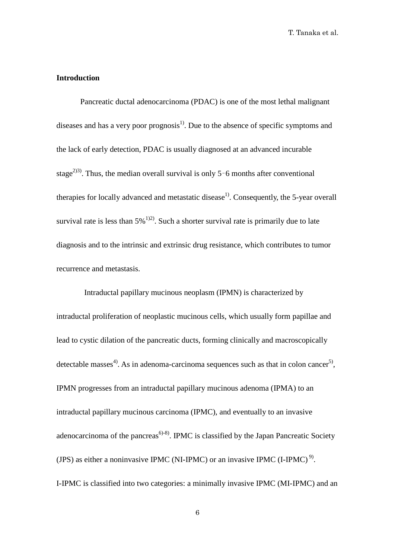# **Introduction**

 Pancreatic ductal adenocarcinoma (PDAC) is one of the most lethal malignant diseases and has a very poor prognosis<sup>1)</sup>. Due to the absence of specific symptoms and the lack of early detection, PDAC is usually diagnosed at an advanced incurable stage<sup>2)3)</sup>. Thus, the median overall survival is only 5-6 months after conventional therapies for locally advanced and metastatic disease<sup>1)</sup>. Consequently, the 5-year overall survival rate is less than  $5\%$ <sup>1)2)</sup>. Such a shorter survival rate is primarily due to late diagnosis and to the intrinsic and extrinsic drug resistance, which contributes to tumor recurrence and metastasis.

Intraductal papillary mucinous neoplasm (IPMN) is characterized by intraductal proliferation of neoplastic mucinous cells, which usually form papillae and lead to cystic dilation of the pancreatic ducts, forming clinically and macroscopically detectable masses<sup>4)</sup>. As in adenoma-carcinoma sequences such as that in colon cancer<sup>5)</sup>, IPMN progresses from an intraductal papillary mucinous adenoma (IPMA) to an intraductal papillary mucinous carcinoma (IPMC), and eventually to an invasive adenocarcinoma of the pancreas<sup> $6)$ -8)</sup>. IPMC is classified by the Japan Pancreatic Society (JPS) as either a noninvasive IPMC (NI-IPMC) or an invasive IPMC (I-IPMC)<sup>9)</sup>. I-IPMC is classified into two categories: a minimally invasive IPMC (MI-IPMC) and an

6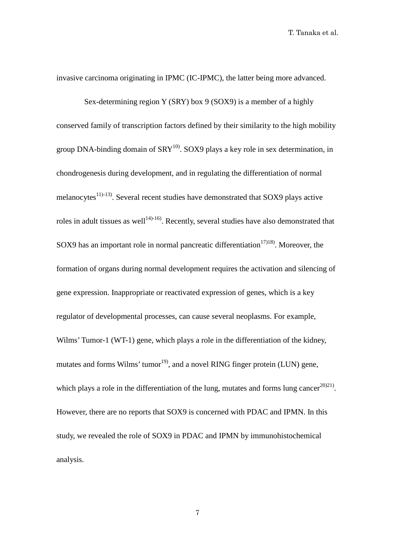invasive carcinoma originating in IPMC (IC-IPMC), the latter being more advanced.

Sex-determining region Y (SRY) box 9 (SOX9) is a member of a highly conserved family of transcription factors defined by their similarity to the high mobility group DNA-binding domain of  $SRY^{10}$ . SOX9 plays a key role in sex determination, in chondrogenesis during development, and in regulating the differentiation of normal melanocytes $^{11)-13}$ . Several recent studies have demonstrated that SOX9 plays active roles in adult tissues as well<sup>14 $>16$ </sup>. Recently, several studies have also demonstrated that SOX9 has an important role in normal pancreatic differentiation<sup>17)18</sup>. Moreover, the formation of organs during normal development requires the activation and silencing of gene expression. Inappropriate or reactivated expression of genes, which is a key regulator of developmental processes, can cause several neoplasms. For example, Wilms' Tumor-1 (WT-1) gene, which plays a role in the differentiation of the kidney, mutates and forms Wilms' tumor $^{19}$ , and a novel RING finger protein (LUN) gene, which plays a role in the differentiation of the lung, mutates and forms lung cancer<sup>20021</sup>. However, there are no reports that SOX9 is concerned with PDAC and IPMN. In this study, we revealed the role of SOX9 in PDAC and IPMN by immunohistochemical analysis.

7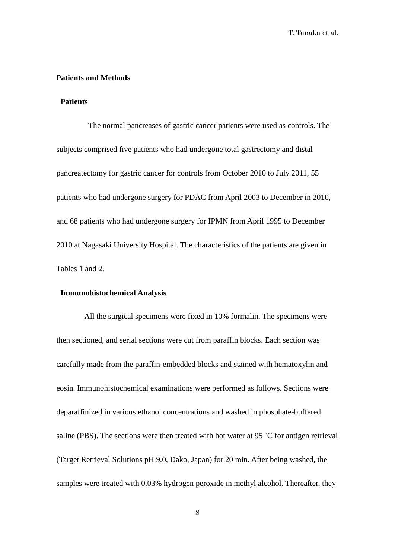# **Patients and Methods**

#### **Patients**

The normal pancreases of gastric cancer patients were used as controls. The subjects comprised five patients who had undergone total gastrectomy and distal pancreatectomy for gastric cancer for controls from October 2010 to July 2011, 55 patients who had undergone surgery for PDAC from April 2003 to December in 2010, and 68 patients who had undergone surgery for IPMN from April 1995 to December 2010 at Nagasaki University Hospital. The characteristics of the patients are given in Tables 1 and 2.

#### **Immunohistochemical Analysis**

All the surgical specimens were fixed in 10% formalin. The specimens were then sectioned, and serial sections were cut from paraffin blocks. Each section was carefully made from the paraffin-embedded blocks and stained with hematoxylin and eosin. Immunohistochemical examinations were performed as follows. Sections were deparaffinized in various ethanol concentrations and washed in phosphate-buffered saline (PBS). The sections were then treated with hot water at 95 ˚C for antigen retrieval (Target Retrieval Solutions pH 9.0, Dako, Japan) for 20 min. After being washed, the samples were treated with 0.03% hydrogen peroxide in methyl alcohol. Thereafter, they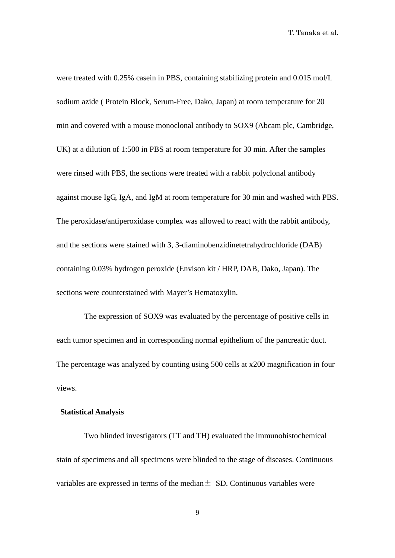were treated with 0.25% casein in PBS, containing stabilizing protein and 0.015 mol/L sodium azide ( Protein Block, Serum-Free, Dako, Japan) at room temperature for 20 min and covered with a mouse monoclonal antibody to SOX9 (Abcam plc, Cambridge, UK) at a dilution of 1:500 in PBS at room temperature for 30 min. After the samples were rinsed with PBS, the sections were treated with a rabbit polyclonal antibody against mouse IgG, IgA, and IgM at room temperature for 30 min and washed with PBS. The peroxidase/antiperoxidase complex was allowed to react with the rabbit antibody, and the sections were stained with 3, 3-diaminobenzidinetetrahydrochloride (DAB) containing 0.03% hydrogen peroxide (Envison kit / HRP, DAB, Dako, Japan). The sections were counterstained with Mayer's Hematoxylin.

The expression of SOX9 was evaluated by the percentage of positive cells in each tumor specimen and in corresponding normal epithelium of the pancreatic duct. The percentage was analyzed by counting using 500 cells at x200 magnification in four views.

## **Statistical Analysis**

Two blinded investigators (TT and TH) evaluated the immunohistochemical stain of specimens and all specimens were blinded to the stage of diseases. Continuous variables are expressed in terms of the median  $\pm$  SD. Continuous variables were

9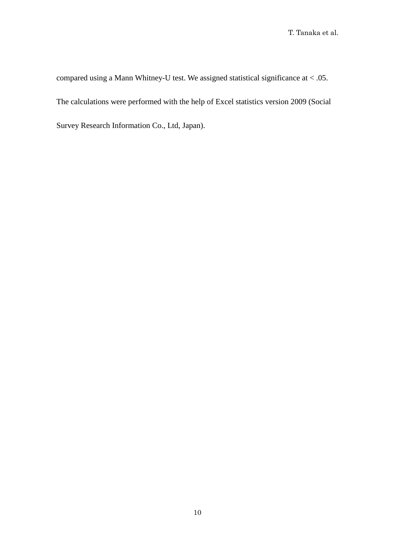compared using a Mann Whitney-U test. We assigned statistical significance at < .05. The calculations were performed with the help of Excel statistics version 2009 (Social Survey Research Information Co., Ltd, Japan).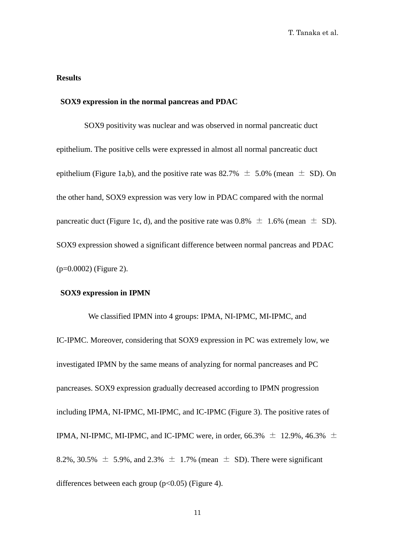# **Results**

## **SOX9 expression in the normal pancreas and PDAC**

SOX9 positivity was nuclear and was observed in normal pancreatic duct epithelium. The positive cells were expressed in almost all normal pancreatic duct epithelium (Figure 1a,b), and the positive rate was 82.7%  $\pm$  5.0% (mean  $\pm$  SD). On the other hand, SOX9 expression was very low in PDAC compared with the normal pancreatic duct (Figure 1c, d), and the positive rate was  $0.8\% \pm 1.6\%$  (mean  $\pm$  SD). SOX9 expression showed a significant difference between normal pancreas and PDAC (p=0.0002) (Figure 2).

#### **SOX9 expression in IPMN**

We classified IPMN into 4 groups: IPMA, NI-IPMC, MI-IPMC, and IC-IPMC. Moreover, considering that SOX9 expression in PC was extremely low, we investigated IPMN by the same means of analyzing for normal pancreases and PC pancreases. SOX9 expression gradually decreased according to IPMN progression including IPMA, NI-IPMC, MI-IPMC, and IC-IPMC (Figure 3). The positive rates of IPMA, NI-IPMC, MI-IPMC, and IC-IPMC were, in order, 66.3%  $\pm$  12.9%, 46.3%  $\pm$ 8.2%, 30.5%  $\pm$  5.9%, and 2.3%  $\pm$  1.7% (mean  $\pm$  SD). There were significant differences between each group  $(p<0.05)$  (Figure 4).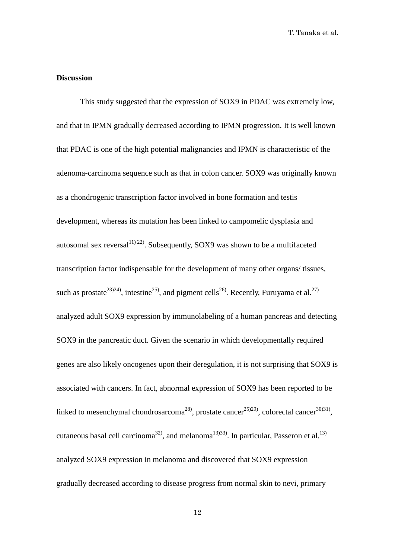# **Discussion**

This study suggested that the expression of SOX9 in PDAC was extremely low, and that in IPMN gradually decreased according to IPMN progression. It is well known that PDAC is one of the high potential malignancies and IPMN is characteristic of the adenoma-carcinoma sequence such as that in colon cancer. SOX9 was originally known as a chondrogenic transcription factor involved in bone formation and testis development, whereas its mutation has been linked to campomelic dysplasia and autosomal sex reversal $1^{(1)}$   $2^{(2)}$ . Subsequently, SOX9 was shown to be a multifaceted transcription factor indispensable for the development of many other organs/ tissues, such as prostate<sup>23</sup>, intestine<sup>25</sup>, and pigment cells<sup>26</sup>. Recently, Furuyama et al.<sup>27</sup> analyzed adult SOX9 expression by immunolabeling of a human pancreas and detecting SOX9 in the pancreatic duct. Given the scenario in which developmentally required genes are also likely oncogenes upon their deregulation, it is not surprising that SOX9 is associated with cancers. In fact, abnormal expression of SOX9 has been reported to be linked to mesenchymal chondrosarcoma<sup>28</sup>, prostate cancer<sup>25)29</sup>, colorectal cancer<sup>30)31</sup>, cutaneous basal cell carcinoma<sup>32</sup>, and melanoma<sup>13)33</sup>. In particular, Passeron et al.<sup>13)</sup> analyzed SOX9 expression in melanoma and discovered that SOX9 expression gradually decreased according to disease progress from normal skin to nevi, primary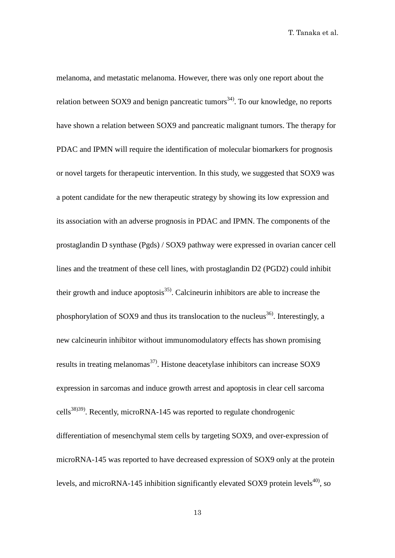melanoma, and metastatic melanoma. However, there was only one report about the relation between SOX9 and benign pancreatic tumors<sup>34)</sup>. To our knowledge, no reports have shown a relation between SOX9 and pancreatic malignant tumors. The therapy for PDAC and IPMN will require the identification of molecular biomarkers for prognosis or novel targets for therapeutic intervention. In this study, we suggested that SOX9 was a potent candidate for the new therapeutic strategy by showing its low expression and its association with an adverse prognosis in PDAC and IPMN. The components of the prostaglandin D synthase (Pgds) / SOX9 pathway were expressed in ovarian cancer cell lines and the treatment of these cell lines, with prostaglandin D2 (PGD2) could inhibit their growth and induce apoptosis<sup>35)</sup>. Calcineurin inhibitors are able to increase the phosphorylation of SOX9 and thus its translocation to the nucleus<sup>36</sup>. Interestingly, a new calcineurin inhibitor without immunomodulatory effects has shown promising results in treating melanomas<sup>37)</sup>. Histone deacetylase inhibitors can increase SOX9 expression in sarcomas and induce growth arrest and apoptosis in clear cell sarcoma cells<sup>38)39)</sup>. Recently, microRNA-145 was reported to regulate chondrogenic differentiation of mesenchymal stem cells by targeting SOX9, and over-expression of microRNA-145 was reported to have decreased expression of SOX9 only at the protein levels, and microRNA-145 inhibition significantly elevated SOX9 protein levels<sup>40</sup>, so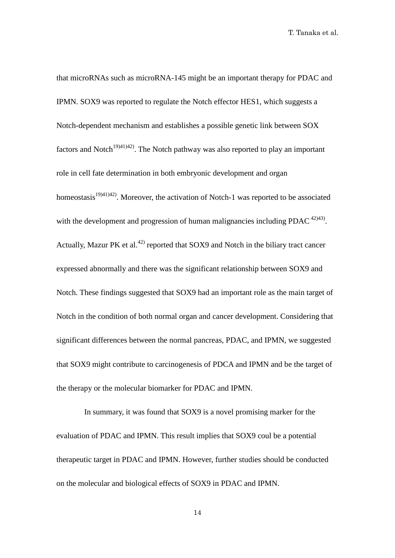that microRNAs such as microRNA-145 might be an important therapy for PDAC and IPMN. SOX9 was reported to regulate the Notch effector HES1, which suggests a Notch-dependent mechanism and establishes a possible genetic link between SOX factors and Notch<sup>19)41)42</sup>. The Notch pathway was also reported to play an important role in cell fate determination in both embryonic development and organ homeostasis<sup>19)41)42)</sup>. Moreover, the activation of Notch-1 was reported to be associated with the development and progression of human malignancies including PDAC  $42\frac{42}{43}$ . Actually, Mazur PK et al.<sup>42)</sup> reported that  $SOX9$  and Notch in the biliary tract cancer expressed abnormally and there was the significant relationship between SOX9 and Notch. These findings suggested that SOX9 had an important role as the main target of Notch in the condition of both normal organ and cancer development. Considering that significant differences between the normal pancreas, PDAC, and IPMN, we suggested that SOX9 might contribute to carcinogenesis of PDCA and IPMN and be the target of the therapy or the molecular biomarker for PDAC and IPMN.

In summary, it was found that SOX9 is a novel promising marker for the evaluation of PDAC and IPMN. This result implies that SOX9 coul be a potential therapeutic target in PDAC and IPMN. However, further studies should be conducted on the molecular and biological effects of SOX9 in PDAC and IPMN.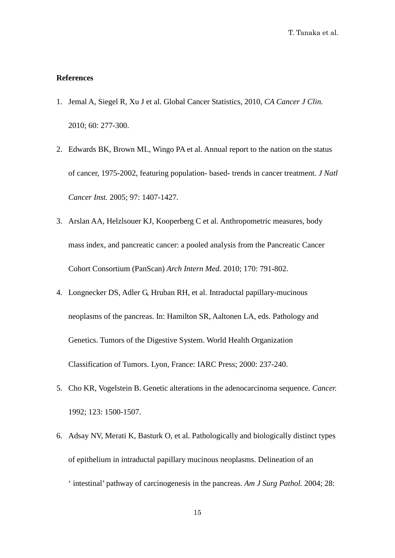# **References**

- 1. Jemal A, Siegel R, Xu J et al. Global Cancer Statistics, 2010, *CA Cancer J Clin.* 2010; 60: 277-300.
- 2. Edwards BK, Brown ML, Wingo PA et al. Annual report to the nation on the status of cancer, 1975-2002, featuring population- based- trends in cancer treatment. *J Natl Cancer Inst.* 2005; 97: 1407-1427.
- 3. Arslan AA, Helzlsouer KJ, Kooperberg C et al. Anthropometric measures, body mass index, and pancreatic cancer: a pooled analysis from the Pancreatic Cancer Cohort Consortium (PanScan) *Arch Intern Med.* 2010; 170: 791-802.
- 4. Longnecker DS, Adler G, Hruban RH, et al. Intraductal papillary-mucinous neoplasms of the pancreas. In: Hamilton SR, Aaltonen LA, eds. Pathology and Genetics. Tumors of the Digestive System. World Health Organization Classification of Tumors. Lyon, France: IARC Press; 2000: 237-240.
- 5. Cho KR, Vogelstein B. Genetic alterations in the adenocarcinoma sequence. *Cancer.* 1992; 123: 1500-1507.
- 6. Adsay NV, Merati K, Basturk O, et al. Pathologically and biologically distinct types of epithelium in intraductal papillary mucinous neoplasms. Delineation of an ' intestinal' pathway of carcinogenesis in the pancreas. *Am J Surg Pathol.* 2004; 28: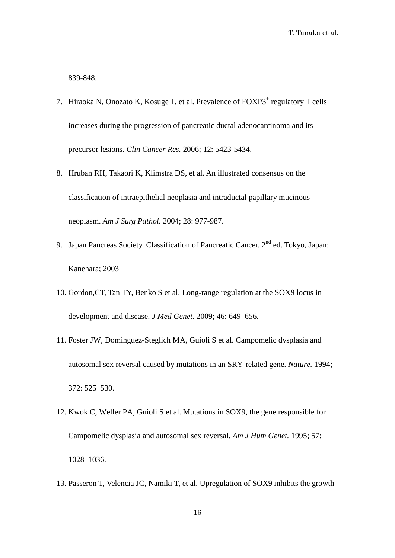839-848.

- 7. Hiraoka N, Onozato K, Kosuge T, et al. Prevalence of FOXP3<sup>+</sup> regulatory T cells increases during the progression of pancreatic ductal adenocarcinoma and its precursor lesions. *Clin Cancer Res.* 2006; 12: 5423-5434.
- 8. Hruban RH, Takaori K, Klimstra DS, et al. An illustrated consensus on the classification of intraepithelial neoplasia and intraductal papillary mucinous neoplasm. *Am J Surg Pathol.* 2004; 28: 977-987.
- 9. Japan Pancreas Society. Classification of Pancreatic Cancer. 2<sup>nd</sup> ed. Tokyo, Japan: Kanehara; 2003
- 10. Gordon,CT, Tan TY, Benko S et al. Long-range regulation at the SOX9 locus in development and disease. *J Med Genet.* 2009; 46: 649–656.
- 11. Foster JW, Dominguez-Steglich MA, Guioli S et al. Campomelic dysplasia and autosomal sex reversal caused by mutations in an SRY-related gene. *Nature.* 1994; 372: 525–530.
- 12. Kwok C, Weller PA, Guioli S et al. Mutations in SOX9, the gene responsible for Campomelic dysplasia and autosomal sex reversal. *Am J Hum Genet.* 1995; 57: 1028–1036.
- 13. Passeron T, Velencia JC, Namiki T, et al. Upregulation of SOX9 inhibits the growth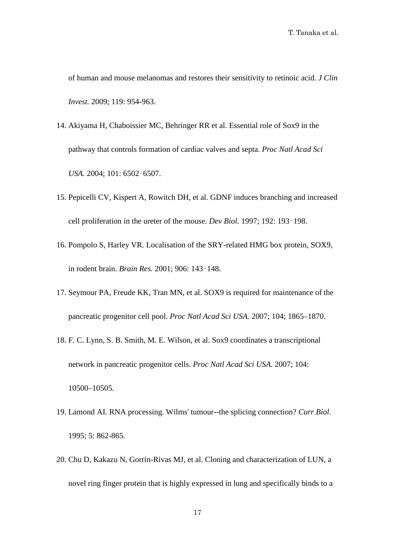of human and mouse melanomas and restores their sensitivity to retinoic acid. *J Clin Invest.* 2009; 119: 954-963.

- 14. Akiyama H, Chaboissier MC, Behringer RR et al. Essential role of Sox9 in the pathway that controls formation of cardiac valves and septa. *Proc Natl Acad Sci USA.* 2004; 101: 6502–6507.
- 15. Pepicelli CV, Kispert A, Rowitch DH, et al. GDNF induces branching and increased cell proliferation in the ureter of the mouse. *Dev Biol.* 1997; 192: 193–198.
- 16. Pompolo S, Harley VR. Localisation of the SRY-related HMG box protein, SOX9, in rodent brain. *Brain Res.* 2001; 906: 143–148.
- 17. Seymour PA, Freude KK, Tran MN, et al. SOX9 is required for maintenance of the pancreatic progenitor cell pool. *Proc Natl Acad Sci USA.* 2007; 104; 1865–1870.
- 18. F. C. Lynn, S. B. Smith, M. E. Wilson, et al. Sox9 coordinates a transcriptional network in pancreatic progenitor cells. *Proc Natl Acad Sci USA.* 2007; 104: 10500–10505.
- 19. [Lamond AI.](http://www.ncbi.nlm.nih.gov/pubmed?term=%22Lamond%20AI%22%5BAuthor%5D) RNA processing. Wilms' tumour--the splicing connection? *[Curr Biol](http://www.ncbi.nlm.nih.gov/pubmed?term=wilm)*. 1995; 5: 862-865.
- 20. Chu D, Kakazu N, Gorrin-Rivas MJ, et al. [Cloning and characterization of LUN,](http://www.ncbi.nlm.nih.gov/pubmed/11278651) a [novel ring finger protein that is highly](http://www.ncbi.nlm.nih.gov/pubmed/11278651) expressed in lung and specifically binds to a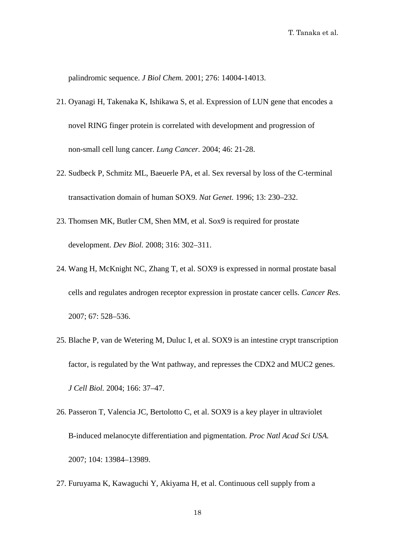palindromic sequence. *J Biol Chem.* 2001; 276: 14004-14013.

- 21. Oyanagi H, Takenaka K, Ishikawa S, et al. Expression of LUN gene that encodes a novel RING finger protein is correlated with development and progression of non-small cell lung cancer. *Lung Cancer.* 2004; 46: 21-28.
- 22. Sudbeck P, Schmitz ML, Baeuerle PA, et al. Sex reversal by loss of the C-terminal transactivation domain of human SOX9. *Nat Genet.* 1996; 13: 230–232.
- 23. Thomsen MK, Butler CM, Shen MM, et al. Sox9 is required for prostate development. *Dev Biol.* 2008; 316: 302–311.
- 24. Wang H, McKnight NC, Zhang T, et al. SOX9 is expressed in normal prostate basal cells and regulates androgen receptor expression in prostate cancer cells. *Cancer Res.* 2007; 67: 528–536.
- 25. Blache P, van de Wetering M, Duluc I, et al. SOX9 is an intestine crypt transcription factor, is regulated by the Wnt pathway, and represses the CDX2 and MUC2 genes. *J Cell Biol.* 2004; 166: 37–47.
- 26. Passeron T, Valencia JC, Bertolotto C, et al. SOX9 is a key player in ultraviolet B-induced melanocyte differentiation and pigmentation. *Proc Natl Acad Sci USA.* 2007; 104: 13984–13989.
- 27. Furuyama K, Kawaguchi Y, Akiyama H, et al. Continuous cell supply from a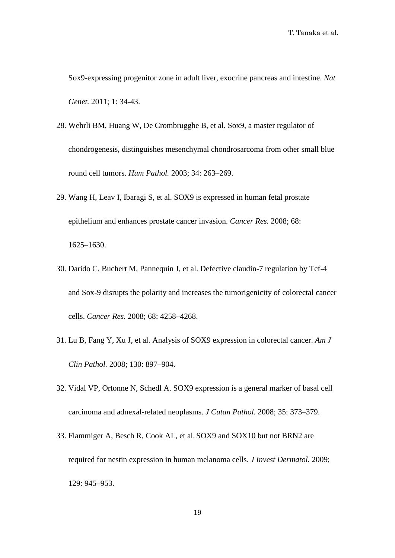Sox9-expressing progenitor zone in adult liver, exocrine pancreas and intestine. *Nat Genet.* 2011; 1: 34-43.

- 28. Wehrli BM, Huang W, De Crombrugghe B, et al. Sox9, a master regulator of chondrogenesis, distinguishes mesenchymal chondrosarcoma from other small blue round cell tumors. *Hum Pathol.* 2003; 34: 263–269.
- 29. Wang H, Leav I, Ibaragi S, et al. SOX9 is expressed in human fetal prostate epithelium and enhances prostate cancer invasion. *Cancer Res.* 2008; 68: 1625–1630.
- 30. Darido C, Buchert M, Pannequin J, et al. Defective claudin-7 regulation by Tcf-4 and Sox-9 disrupts the polarity and increases the tumorigenicity of colorectal cancer cells. *Cancer Res.* 2008; 68: 4258–4268.
- 31. Lu B, Fang Y, Xu J, et al. Analysis of SOX9 expression in colorectal cancer. *Am J Clin Pathol.* 2008; 130: 897–904.
- 32. Vidal VP, Ortonne N, Schedl A. SOX9 expression is a general marker of basal cell carcinoma and adnexal-related neoplasms. *J Cutan Pathol.* 2008; 35: 373–379.
- 33. Flammiger A, Besch R, Cook AL, et al. SOX9 and SOX10 but not BRN2 are required for nestin expression in human melanoma cells. *J Invest Dermatol.* 2009; 129: 945–953.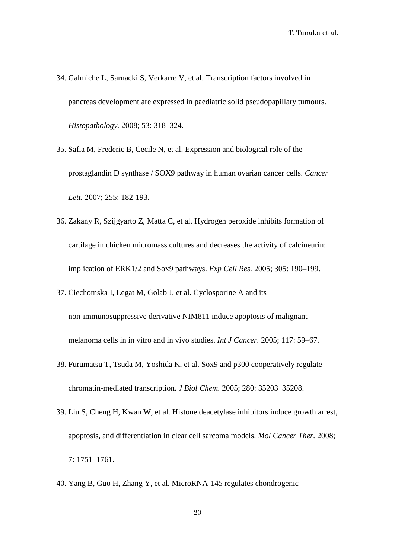- 34. Galmiche L, Sarnacki S, Verkarre V, et al. Transcription factors involved in pancreas development are expressed in paediatric solid pseudopapillary tumours. *Histopathology.* 2008; 53: 318–324.
- 35. Safia M, Frederic B, Cecile N, et al. Expression and biological role of the prostaglandin D synthase / SOX9 pathway in human ovarian cancer cells. *Cancer Lett.* 2007; 255: 182-193.
- 36. Zakany R, Szijgyarto Z, Matta C, et al. Hydrogen peroxide inhibits formation of cartilage in chicken micromass cultures and decreases the activity of calcineurin: implication of ERK1/2 and Sox9 pathways. *Exp Cell Res.* 2005; 305: 190–199.
- 37. Ciechomska I, Legat M, Golab J, et al. Cyclosporine A and its non-immunosuppressive derivative NIM811 induce apoptosis of malignant melanoma cells in in vitro and in vivo studies. *Int J Cancer.* 2005; 117: 59–67.
- 38. Furumatsu T, Tsuda M, Yoshida K, et al. Sox9 and p300 cooperatively regulate chromatin-mediated transcription. *J Biol Chem.* 2005; 280: 35203–35208.
- 39. Liu S, Cheng H, Kwan W, et al. Histone deacetylase inhibitors induce growth arrest, apoptosis, and differentiation in clear cell sarcoma models. *Mol Cancer Ther.* 2008; 7: 1751–1761.
- 40. Yang B, Guo H, Zhang Y, et al. MicroRNA-145 regulates chondrogenic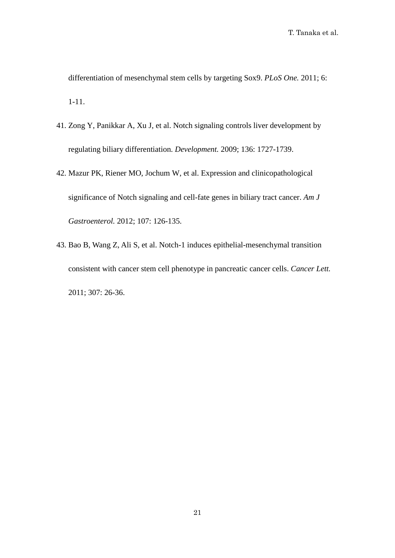differentiation of mesenchymal stem cells by targeting Sox9. *PLoS One.* 2011; 6: 1-11.

- 41. Zong Y, Panikkar A, Xu J, et al. Notch signaling controls liver development by regulating biliary differentiation. *Development.* 2009; 136: 1727-1739.
- 42. Mazur PK, Riener MO, Jochum W, et al. Expression and clinicopathological significance of Notch signaling and cell-fate genes in biliary tract cancer. *Am J Gastroenterol.* 2012; 107: 126-135.
- 43. Bao B, Wang Z, Ali S, et al. Notch-1 induces epithelial-mesenchymal transition consistent with cancer stem cell phenotype in pancreatic cancer cells. *Cancer Lett.* 2011; 307: 26-36.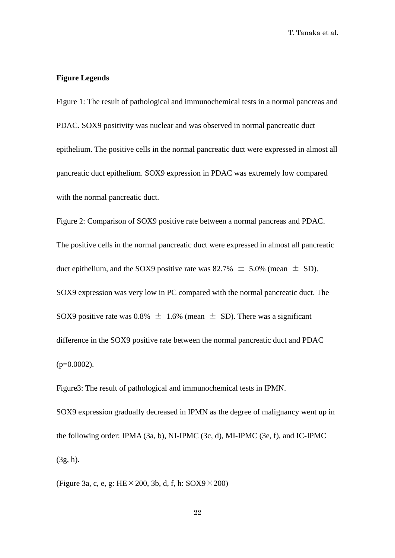# **Figure Legends**

Figure 1: The result of pathological and immunochemical tests in a normal pancreas and PDAC. SOX9 positivity was nuclear and was observed in normal pancreatic duct epithelium. The positive cells in the normal pancreatic duct were expressed in almost all pancreatic duct epithelium. SOX9 expression in PDAC was extremely low compared with the normal pancreatic duct.

Figure 2: Comparison of SOX9 positive rate between a normal pancreas and PDAC. The positive cells in the normal pancreatic duct were expressed in almost all pancreatic duct epithelium, and the SOX9 positive rate was  $82.7\% \pm 5.0\%$  (mean  $\pm$  SD). SOX9 expression was very low in PC compared with the normal pancreatic duct. The SOX9 positive rate was 0.8%  $\pm$  1.6% (mean  $\pm$  SD). There was a significant difference in the SOX9 positive rate between the normal pancreatic duct and PDAC  $(p=0.0002)$ .

Figure3: The result of pathological and immunochemical tests in IPMN.

SOX9 expression gradually decreased in IPMN as the degree of malignancy went up in the following order: IPMA (3a, b), NI-IPMC (3c, d), MI-IPMC (3e, f), and IC-IPMC (3g, h).

(Figure 3a, c, e, g:  $HE \times 200$ , 3b, d, f, h:  $SOX9 \times 200$ )

22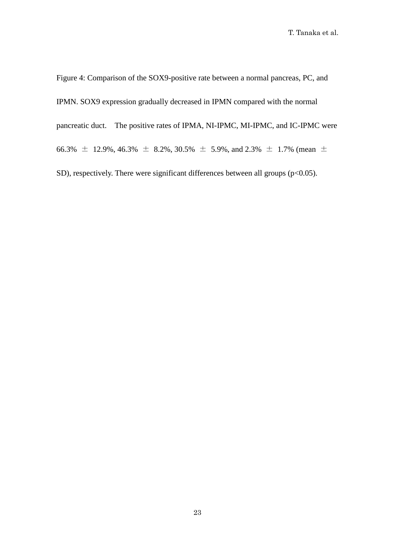Figure 4: Comparison of the SOX9-positive rate between a normal pancreas, PC, and IPMN. SOX9 expression gradually decreased in IPMN compared with the normal pancreatic duct. The positive rates of IPMA, NI-IPMC, MI-IPMC, and IC-IPMC were 66.3%  $\pm$  12.9%, 46.3%  $\pm$  8.2%, 30.5%  $\pm$  5.9%, and 2.3%  $\pm$  1.7% (mean  $\pm$ SD), respectively. There were significant differences between all groups  $(p<0.05)$ .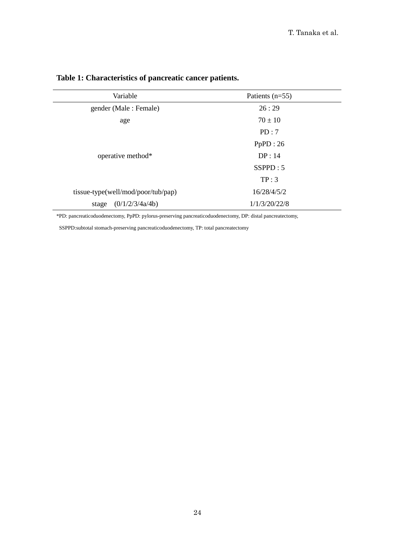| Variable                           | Patients $(n=55)$ |  |  |
|------------------------------------|-------------------|--|--|
| gender (Male: Female)              | 26:29             |  |  |
| age                                | $70 \pm 10$       |  |  |
|                                    | PD:7              |  |  |
|                                    | PpPD:26           |  |  |
| operative method*                  | DP: 14            |  |  |
|                                    | SSPPD: 5          |  |  |
|                                    | TP:3              |  |  |
| tissue-type(well/mod/poor/tub/pap) | 16/28/4/5/2       |  |  |
| (0/1/2/3/4a/4b)<br>stage           | 1/1/3/20/22/8     |  |  |

# **Table 1: Characteristics of pancreatic cancer patients.**

\*PD: pancreaticoduodenectomy, PpPD: pylorus-preserving pancreaticoduodenectomy, DP: distal pancreatectomy,

SSPPD:subtotal stomach-preserving pancreaticoduodenectomy, TP: total pancreatectomy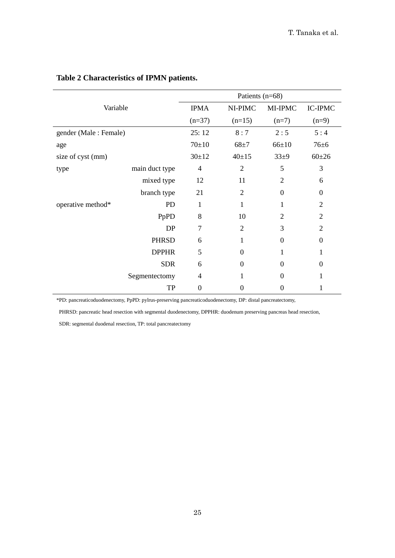| Variable              |                | Patients $(n=68)$ |                  |                  |                  |
|-----------------------|----------------|-------------------|------------------|------------------|------------------|
|                       |                | <b>IPMA</b>       | NI-PIMC          | MI-IPMC          | <b>IC-IPMC</b>   |
|                       |                | $(n=37)$          | $(n=15)$         | $(n=7)$          | $(n=9)$          |
| gender (Male: Female) |                | 25:12             | 8:7              | 2:5              | 5:4              |
| age                   |                | $70+10$           | $68 + 7$         | $66 \pm 10$      | $76 + 6$         |
| size of cyst (mm)     |                | $30+12$           | $40+15$          | $33\pm9$         | $60+26$          |
| type                  | main duct type | 4                 | $\overline{2}$   | 5                | 3                |
|                       | mixed type     | 12                | 11               | $\overline{2}$   | 6                |
|                       | branch type    | 21                | $\overline{2}$   | $\theta$         | $\boldsymbol{0}$ |
| operative method*     | <b>PD</b>      | 1                 | 1                | 1                | $\overline{2}$   |
|                       | PpPD           | 8                 | 10               | $\overline{2}$   | $\overline{2}$   |
|                       | DP             | $\overline{7}$    | $\overline{2}$   | 3                | $\overline{2}$   |
|                       | <b>PHRSD</b>   | 6                 | 1                | $\theta$         | $\theta$         |
|                       | <b>DPPHR</b>   | 5                 | $\theta$         | 1                | 1                |
|                       | <b>SDR</b>     | 6                 | $\boldsymbol{0}$ | $\boldsymbol{0}$ | $\boldsymbol{0}$ |
|                       | Segmentectomy  | 4                 | 1                | $\theta$         | 1                |
|                       | TP             | $\overline{0}$    | $\theta$         | 0                | 1                |

# **Table 2 Characteristics of IPMN patients.**

\*PD: pancreaticoduodenectomy, PpPD: pylrus-preserving pancreaticoduodenectomy, DP: distal pancreatectomy,

PHRSD: pancreatic head resection with segmental duodenectomy, DPPHR: duodenum preserving pancreas head resection,

SDR: segmental duodenal resection, TP: total pancreatectomy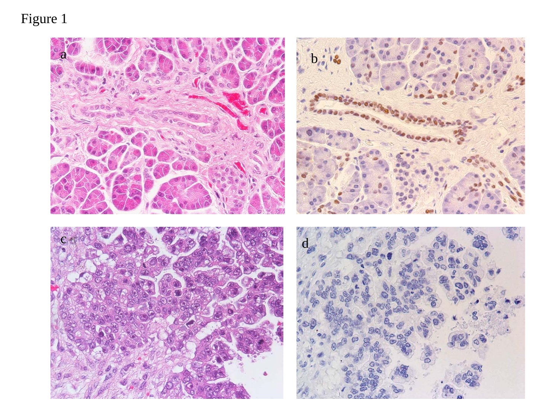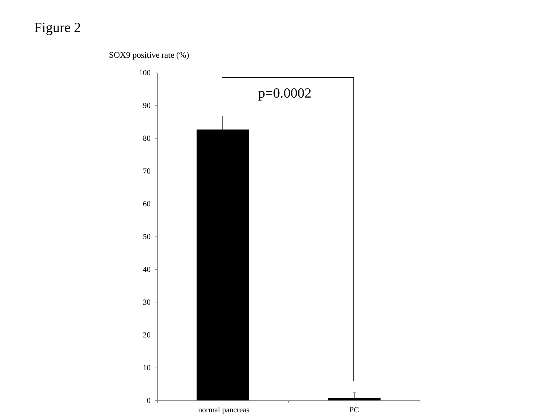SOX9 positive rate (%)

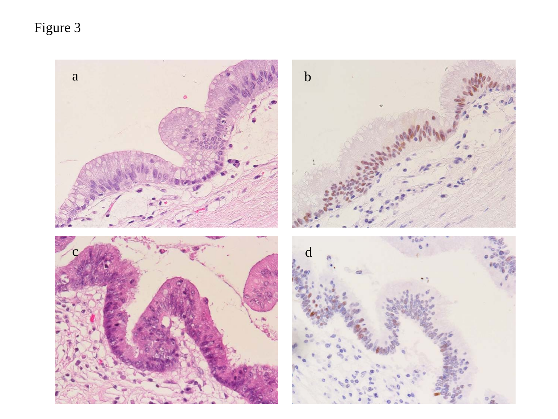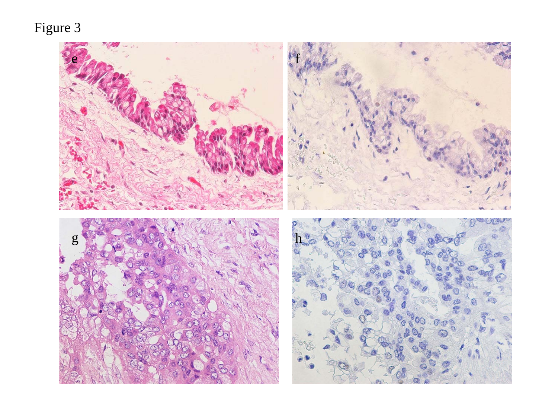